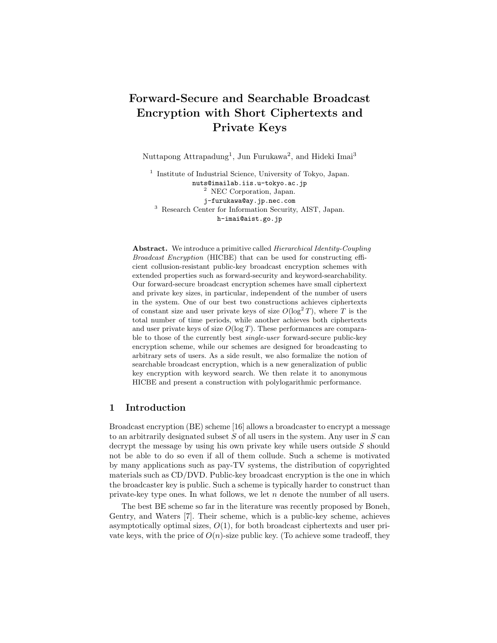# Forward-Secure and Searchable Broadcast Encryption with Short Ciphertexts and Private Keys

Nuttapong Attrapadung<sup>1</sup>, Jun Furukawa<sup>2</sup>, and Hideki Imai<sup>3</sup>

<sup>1</sup> Institute of Industrial Science, University of Tokyo, Japan. nuts@imailab.iis.u-tokyo.ac.jp <sup>2</sup> NEC Corporation, Japan. j-furukawa@ay.jp.nec.com <sup>3</sup> Research Center for Information Security, AIST, Japan. h-imai@aist.go.jp

Abstract. We introduce a primitive called Hierarchical Identity-Coupling Broadcast Encryption (HICBE) that can be used for constructing efficient collusion-resistant public-key broadcast encryption schemes with extended properties such as forward-security and keyword-searchability. Our forward-secure broadcast encryption schemes have small ciphertext and private key sizes, in particular, independent of the number of users in the system. One of our best two constructions achieves ciphertexts of constant size and user private keys of size  $O(\log^2 T)$ , where T is the total number of time periods, while another achieves both ciphertexts and user private keys of size  $O(\log T)$ . These performances are comparable to those of the currently best *single-user* forward-secure public-key encryption scheme, while our schemes are designed for broadcasting to arbitrary sets of users. As a side result, we also formalize the notion of searchable broadcast encryption, which is a new generalization of public key encryption with keyword search. We then relate it to anonymous HICBE and present a construction with polylogarithmic performance.

## 1 Introduction

Broadcast encryption (BE) scheme [16] allows a broadcaster to encrypt a message to an arbitrarily designated subset  $S$  of all users in the system. Any user in  $S$  can decrypt the message by using his own private key while users outside  $S$  should not be able to do so even if all of them collude. Such a scheme is motivated by many applications such as pay-TV systems, the distribution of copyrighted materials such as CD/DVD. Public-key broadcast encryption is the one in which the broadcaster key is public. Such a scheme is typically harder to construct than private-key type ones. In what follows, we let  $n$  denote the number of all users.

The best BE scheme so far in the literature was recently proposed by Boneh, Gentry, and Waters [7]. Their scheme, which is a public-key scheme, achieves asymptotically optimal sizes,  $O(1)$ , for both broadcast ciphertexts and user private keys, with the price of  $O(n)$ -size public key. (To achieve some tradeoff, they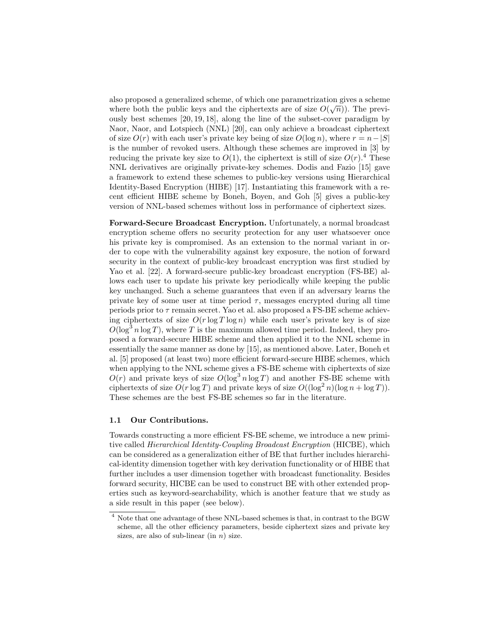also proposed a generalized scheme, of which one parametrization gives a scheme √ where both the public keys and the ciphertexts are of size  $O(\sqrt{n})$ . The previously best schemes [20, 19, 18], along the line of the subset-cover paradigm by Naor, Naor, and Lotspiech (NNL) [20], can only achieve a broadcast ciphertext of size  $O(r)$  with each user's private key being of size  $O(\log n)$ , where  $r = n - |S|$ is the number of revoked users. Although these schemes are improved in [3] by reducing the private key size to  $O(1)$ , the ciphertext is still of size  $O(r)$ .<sup>4</sup> These NNL derivatives are originally private-key schemes. Dodis and Fazio [15] gave a framework to extend these schemes to public-key versions using Hierarchical Identity-Based Encryption (HIBE) [17]. Instantiating this framework with a recent efficient HIBE scheme by Boneh, Boyen, and Goh [5] gives a public-key version of NNL-based schemes without loss in performance of ciphertext sizes.

Forward-Secure Broadcast Encryption. Unfortunately, a normal broadcast encryption scheme offers no security protection for any user whatsoever once his private key is compromised. As an extension to the normal variant in order to cope with the vulnerability against key exposure, the notion of forward security in the context of public-key broadcast encryption was first studied by Yao et al. [22]. A forward-secure public-key broadcast encryption (FS-BE) allows each user to update his private key periodically while keeping the public key unchanged. Such a scheme guarantees that even if an adversary learns the private key of some user at time period  $\tau$ , messages encrypted during all time periods prior to  $\tau$  remain secret. Yao et al. also proposed a FS-BE scheme achieving ciphertexts of size  $O(r \log T \log n)$  while each user's private key is of size  $O(\log^3 n \log T)$ , where T is the maximum allowed time period. Indeed, they proposed a forward-secure HIBE scheme and then applied it to the NNL scheme in essentially the same manner as done by [15], as mentioned above. Later, Boneh et al. [5] proposed (at least two) more efficient forward-secure HIBE schemes, which when applying to the NNL scheme gives a FS-BE scheme with ciphertexts of size  $O(r)$  and private keys of size  $O(\log^3 n \log T)$  and another FS-BE scheme with ciphertexts of size  $O(r \log T)$  and private keys of size  $O((\log^2 n)(\log n + \log T))$ . These schemes are the best FS-BE schemes so far in the literature.

## 1.1 Our Contributions.

Towards constructing a more efficient FS-BE scheme, we introduce a new primitive called Hierarchical Identity-Coupling Broadcast Encryption (HICBE), which can be considered as a generalization either of BE that further includes hierarchical-identity dimension together with key derivation functionality or of HIBE that further includes a user dimension together with broadcast functionality. Besides forward security, HICBE can be used to construct BE with other extended properties such as keyword-searchability, which is another feature that we study as a side result in this paper (see below).

<sup>4</sup> Note that one advantage of these NNL-based schemes is that, in contrast to the BGW scheme, all the other efficiency parameters, beside ciphertext sizes and private key sizes, are also of sub-linear (in  $n$ ) size.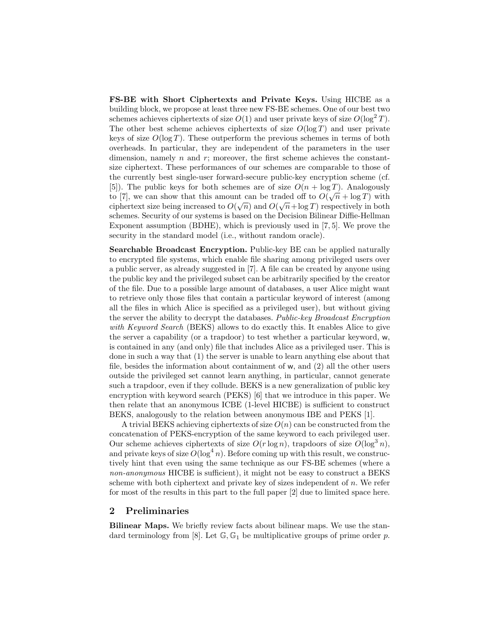FS-BE with Short Ciphertexts and Private Keys. Using HICBE as a building block, we propose at least three new FS-BE schemes. One of our best two schemes achieves ciphertexts of size  $O(1)$  and user private keys of size  $O(\log^2 T)$ . The other best scheme achieves ciphertexts of size  $O(\log T)$  and user private keys of size  $O(\log T)$ . These outperform the previous schemes in terms of both overheads. In particular, they are independent of the parameters in the user dimension, namely  $n$  and  $r$ ; moreover, the first scheme achieves the constantsize ciphertext. These performances of our schemes are comparable to those of the currently best single-user forward-secure public-key encryption scheme (cf. [5]). The public keys for both schemes are of size  $O(n + \log T)$ . Analogously to [7], we can show that this amount can be traded off to  $O(\sqrt{n} + \log T)$  with ciphertext size being increased to  $O(\sqrt{n})$  and  $O(\sqrt{n} + \log T)$  respectively in both schemes. Security of our systems is based on the Decision Bilinear Diffie-Hellman Exponent assumption (BDHE), which is previously used in [7, 5]. We prove the security in the standard model (i.e., without random oracle).

Searchable Broadcast Encryption. Public-key BE can be applied naturally to encrypted file systems, which enable file sharing among privileged users over a public server, as already suggested in [7]. A file can be created by anyone using the public key and the privileged subset can be arbitrarily specified by the creator of the file. Due to a possible large amount of databases, a user Alice might want to retrieve only those files that contain a particular keyword of interest (among all the files in which Alice is specified as a privileged user), but without giving the server the ability to decrypt the databases. Public-key Broadcast Encryption with Keyword Search (BEKS) allows to do exactly this. It enables Alice to give the server a capability (or a trapdoor) to test whether a particular keyword, w, is contained in any (and only) file that includes Alice as a privileged user. This is done in such a way that (1) the server is unable to learn anything else about that file, besides the information about containment of  $w$ , and  $(2)$  all the other users outside the privileged set cannot learn anything, in particular, cannot generate such a trapdoor, even if they collude. BEKS is a new generalization of public key encryption with keyword search (PEKS) [6] that we introduce in this paper. We then relate that an anonymous ICBE (1-level HICBE) is sufficient to construct BEKS, analogously to the relation between anonymous IBE and PEKS [1].

A trivial BEKS achieving ciphertexts of size  $O(n)$  can be constructed from the concatenation of PEKS-encryption of the same keyword to each privileged user. Our scheme achieves ciphertexts of size  $O(r \log n)$ , trapdoors of size  $O(\log^3 n)$ , and private keys of size  $O(\log^4 n)$ . Before coming up with this result, we constructively hint that even using the same technique as our FS-BE schemes (where a non-anonymous HICBE is sufficient), it might not be easy to construct a BEKS scheme with both ciphertext and private key of sizes independent of  $n$ . We refer for most of the results in this part to the full paper [2] due to limited space here.

## 2 Preliminaries

Bilinear Maps. We briefly review facts about bilinear maps. We use the standard terminology from [8]. Let  $\mathbb{G}, \mathbb{G}_1$  be multiplicative groups of prime order p.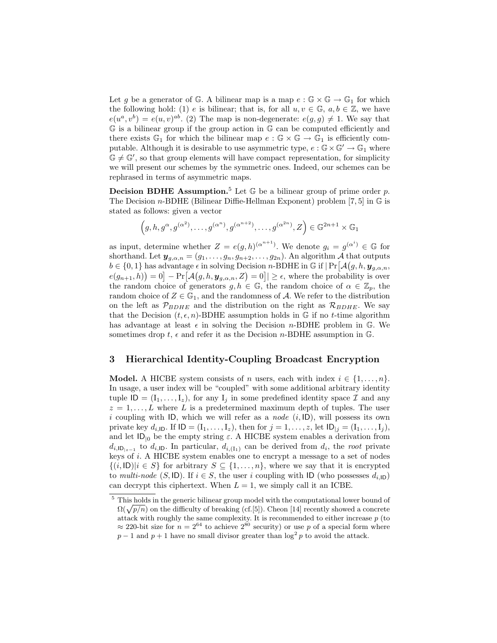Let g be a generator of G. A bilinear map is a map  $e : \mathbb{G} \times \mathbb{G} \to \mathbb{G}_1$  for which the following hold: (1) e is bilinear; that is, for all  $u, v \in \mathbb{G}$ ,  $a, b \in \mathbb{Z}$ , we have  $e(u^a, v^b) = e(u, v)^{ab}$ . (2) The map is non-degenerate:  $e(g, g) \neq 1$ . We say that G is a bilinear group if the group action in G can be computed efficiently and there exists  $\mathbb{G}_1$  for which the bilinear map  $e : \mathbb{G} \times \mathbb{G} \to \mathbb{G}_1$  is efficiently computable. Although it is desirable to use asymmetric type,  $e : \mathbb{G} \times \mathbb{G}' \to \mathbb{G}_1$  where  $\mathbb{G} \neq \mathbb{G}'$ , so that group elements will have compact representation, for simplicity we will present our schemes by the symmetric ones. Indeed, our schemes can be rephrased in terms of asymmetric maps.

**Decision BDHE Assumption.**<sup>5</sup> Let  $\mathbb{G}$  be a bilinear group of prime order p. The Decision *n*-BDHE (Bilinear Diffie-Hellman Exponent) problem [7, 5] in  $\mathbb{G}$  is stated as follows: given a vector

$$
(g, h, g^{\alpha}, g^{(\alpha^2)}, \dots, g^{(\alpha^n)}, g^{(\alpha^{n+2})}, \dots, g^{(\alpha^{2n})}, Z) \in \mathbb{G}^{2n+1} \times \mathbb{G}_1
$$

as input, determine whether  $Z = e(g, h)^{(\alpha^{n+1})}$ . We denote  $g_i = g^{(\alpha^i)} \in \mathbb{G}$  for shorthand. Let  $\mathbf{y}_{g,\alpha,n} = (g_1, \ldots, g_n, g_{n+2}, \ldots, g_{2n})$ . An algorithm A that outputs shorthand. Let  $y_{g,\alpha,n} = (g_1, \ldots, g_n, g_{n+2}, \ldots, g_{2n})$ . An algorithm A that outputs  $b \in \{0,1\}$  has advantage  $\epsilon$  in solving Decision *n*-BDHE in  $\mathbb{G}$  if  $|\Pr[\mathcal{A}(g,h,y_{g,\alpha,n},\theta)]$  $e(g_{n+1}, h) = 0$  – Pr $[\mathcal{A}(g, h, y_{g,\alpha,n}, Z) = 0] \geq \epsilon$ , where the probability is over the random choice of generators  $g, h \in \mathbb{G}$ , the random choice of  $\alpha \in \mathbb{Z}_p$ , the random choice of  $Z \in \mathbb{G}_1$ , and the randomness of A. We refer to the distribution on the left as  $\mathcal{P}_{BDHE}$  and the distribution on the right as  $\mathcal{R}_{BDHE}$ . We say that the Decision  $(t, \epsilon, n)$ -BDHE assumption holds in G if no t-time algorithm has advantage at least  $\epsilon$  in solving the Decision *n*-BDHE problem in G. We sometimes drop  $t, \epsilon$  and refer it as the Decision *n*-BDHE assumption in  $\mathbb{G}$ .

# 3 Hierarchical Identity-Coupling Broadcast Encryption

**Model.** A HICBE system consists of *n* users, each with index  $i \in \{1, \ldots, n\}$ . In usage, a user index will be "coupled" with some additional arbitrary identity tuple  $ID = (I_1, \ldots, I_z)$ , for any  $I_i$  in some predefined identity space  $\mathcal I$  and any  $z = 1, \ldots, L$  where L is a predetermined maximum depth of tuples. The user i coupling with ID, which we will refer as a *node*  $(i, \text{ID})$ , will possess its own private key  $d_{i,\mathsf{ID}}$ . If  $\mathsf{ID} = (\mathsf{I}_1, \ldots, \mathsf{I}_z)$ , then for  $j = 1, \ldots, z$ , let  $\mathsf{ID}_{\mathsf{I}j} = (\mathsf{I}_1, \ldots, \mathsf{I}_j)$ , and let  $|D|_0$  be the empty string  $\varepsilon$ . A HICBE system enables a derivation from  $d_{i,\mathsf{ID}_{|z-1}}$  to  $d_{i,\mathsf{ID}}$ . In particular,  $d_{i,\mathsf{(I_1)}}$  can be derived from  $d_i$ , the root private keys of i. A HICBE system enables one to encrypt a message to a set of nodes  $\{(i, \mathsf{ID})|i \in S\}$  for arbitrary  $S \subseteq \{1, \ldots, n\}$ , where we say that it is encrypted to multi-node (S, ID). If  $i \in S$ , the user i coupling with ID (who possesses  $d_i$ <sub>ID</sub>) can decrypt this ciphertext. When  $L = 1$ , we simply call it an ICBE.

<sup>&</sup>lt;sup>5</sup> This holds in the generic bilinear group model with the computational lower bound of  $\Omega(\sqrt{p/n})$  on the difficulty of breaking (cf.[5]). Cheon [14] recently showed a concrete attack with roughly the same complexity. It is recommended to either increase  $p$  (to  $\approx 220$ -bit size for  $n = 2^{64}$  to achieve  $2^{80}$  security) or use p of a special form where  $p-1$  and  $p+1$  have no small divisor greater than  $\log^2 p$  to avoid the attack.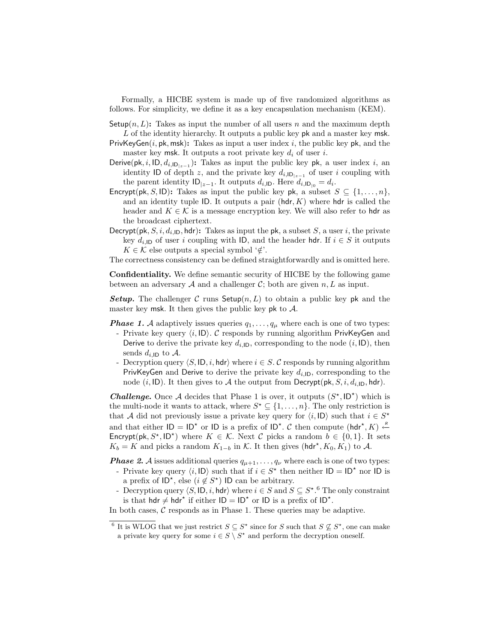Formally, a HICBE system is made up of five randomized algorithms as follows. For simplicity, we define it as a key encapsulation mechanism (KEM).

- Setup $(n, L)$ : Takes as input the number of all users n and the maximum depth L of the identity hierarchy. It outputs a public key pk and a master key msk.
- PrivKeyGen(i, pk, msk): Takes as input a user index i, the public key pk, and the master key msk. It outputs a root private key  $d_i$  of user i.
- Derive(pk, i, ID,  $d_{i,\text{ID}_{|z-1}}$ ): Takes as input the public key pk, a user index i, an identity ID of depth z, and the private key  $d_{i,\text{ID}_{|z-1}}$  of user i coupling with the parent identity  $\mathsf{ID}_{|z-1}$ . It outputs  $d_{i,\mathsf{ID}}$ . Here  $d_{i,\mathsf{ID}_{|0}} = d_i$ .
- Encrypt(pk, S, ID): Takes as input the public key pk, a subset  $S \subseteq \{1, \ldots, n\}$ , and an identity tuple ID. It outputs a pair  $(hdr, K)$  where hdr is called the header and  $K \in \mathcal{K}$  is a message encryption key. We will also refer to hdr as the broadcast ciphertext.
- Decrypt(pk, S, i,  $d_{i,\text{ID}}$ , hdr): Takes as input the pk, a subset S, a user i, the private key  $d_{i,\text{ID}}$  of user i coupling with ID, and the header hdr. If  $i \in S$  it outputs  $K \in \mathcal{K}$  else outputs a special symbol ' $\notin$ '.

The correctness consistency can be defined straightforwardly and is omitted here.

Confidentiality. We define semantic security of HICBE by the following game between an adversary A and a challenger C; both are given  $n, L$  as input.

**Setup.** The challenger C runs Setup $(n, L)$  to obtain a public key pk and the master key msk. It then gives the public key pk to  $A$ .

- **Phase 1.** A adaptively issues queries  $q_1, \ldots, q_\mu$  where each is one of two types: - Private key query  $\langle i, \mathsf{ID} \rangle$ . C responds by running algorithm PrivKeyGen and Derive to derive the private key  $d_{i,\mathsf{ID}}$ , corresponding to the node  $(i,\mathsf{ID})$ , then sends  $d_{i,\text{ID}}$  to A.
	- Decryption query  $\langle S, \mathsf{ID}, i, \mathsf{hdr} \rangle$  where  $i \in S$ . C responds by running algorithm PrivKeyGen and Derive to derive the private key  $d_{i,\text{ID}}$ , corresponding to the node  $(i, \mathsf{ID})$ . It then gives to A the output from Decrypt(pk, S, i,  $d_{i,\mathsf{ID}}$ , hdr).

**Challenge.** Once A decides that Phase 1 is over, it outputs  $(S^*, \mathsf{ID}^*)$  which is the multi-node it wants to attack, where  $S^* \subseteq \{1, \ldots, n\}$ . The only restriction is that A did not previously issue a private key query for  $\langle i, \mathsf{ID} \rangle$  such that  $i \in S^*$ and that either  $ID = ID^*$  or  $ID$  is a prefix of  $ID^*$ . C then compute  $(hdr^*, K) \stackrel{\mathcal{R}}{\leftarrow}$ Encrypt(pk,  $S^*$ , ID<sup>\*</sup>) where  $K \in \mathcal{K}$ . Next C picks a random  $b \in \{0,1\}$ . It sets  $K_b = K$  and picks a random  $K_{1-b}$  in K. It then gives (hdr<sup>\*</sup>,  $K_0, K_1$ ) to A.

**Phase 2.** A issues additional queries  $q_{\mu+1}, \ldots, q_{\nu}$  where each is one of two types:

- Private key query  $\langle i, \mathsf{ID} \rangle$  such that if  $i \in S^*$  then neither  $\mathsf{ID} = \mathsf{ID}^*$  nor  $\mathsf{ID}$  is a prefix of  $ID^*$ , else  $(i \notin S^*)$  ID can be arbitrary.
- Decryption query  $\langle S, \mathsf{ID}, i, \mathsf{hdr} \rangle$  where  $i \in S$  and  $S \subseteq S^{\star}$ . <sup>6</sup> The only constraint is that  $\mathsf{hdr} \neq \mathsf{hdr}^*$  if either  $\mathsf{ID} = \mathsf{ID}^*$  or  $\mathsf{ID}$  is a prefix of  $\mathsf{ID}^*$ .

In both cases,  $C$  responds as in Phase 1. These queries may be adaptive.

<sup>&</sup>lt;sup>6</sup> It is WLOG that we just restrict  $S \subseteq S^*$  since for S such that  $S \nsubseteq S^*$ , one can make a private key query for some  $i \in S \setminus S^*$  and perform the decryption oneself.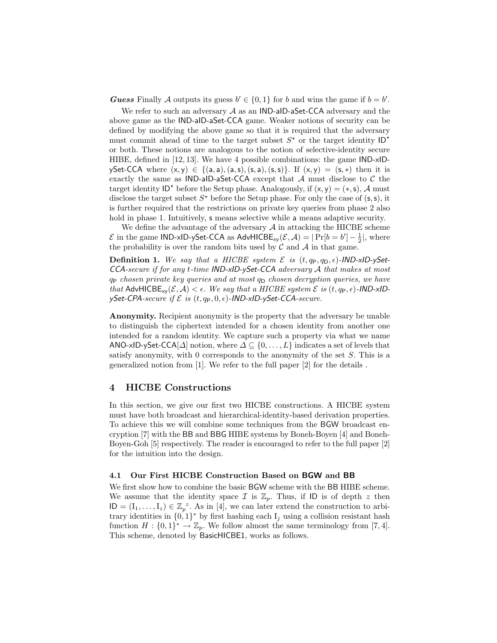**Guess** Finally A outputs its guess  $b' \in \{0, 1\}$  for b and wins the game if  $b = b'$ .

We refer to such an adversary  $A$  as an IND-aID-aSet-CCA adversary and the above game as the IND-aID-aSet-CCA game. Weaker notions of security can be defined by modifying the above game so that it is required that the adversary must commit ahead of time to the target subset  $S^*$  or the target identity  $ID^*$ or both. These notions are analogous to the notion of selective-identity secure HIBE, defined in [12, 13]. We have 4 possible combinations: the game IND-xIDySet-CCA where  $(x, y)$  ∈ {(a, a), (a, s), (s, a), (s, s)}. If  $(x, y) = (s, *)$  then it is exactly the same as IND-aID-aSet-CCA except that  $A$  must disclose to  $C$  the target identity  $ID^*$  before the Setup phase. Analogously, if  $(x, y) = (*, s)$ , A must disclose the target subset  $S^*$  before the Setup phase. For only the case of  $(s, s)$ , it is further required that the restrictions on private key queries from phase 2 also hold in phase 1. Intuitively, **s** means selective while **a** means adaptive security.

We define the advantage of the adversary  $A$  in attacking the HICBE scheme  $\mathcal E$  in the game IND-xID-ySet-CCA as AdvHICBE<sub>xy</sub>( $\mathcal E, \mathcal A$ ) =  $|\Pr[b=b'] - \frac{1}{2}|$ , where the probability is over the random bits used by  $\mathcal C$  and  $\mathcal A$  in that game.

**Definition 1.** We say that a HICBE system  $\mathcal{E}$  is  $(t, q_P, q_D, \epsilon)$ -IND-xID-ySet-CCA-secure if for any t-time IND-xID-ySet-CCA adversary A that makes at most  $q_P$  chosen private key queries and at most  $q_D$  chosen decryption queries, we have that AdvHICBE<sub>xy</sub>( $\mathcal{E}, \mathcal{A}$ )  $< \epsilon$ . We say that a HICBE system  $\mathcal{E}$  is  $(t, q_P, \epsilon)$ -IND-xIDySet-CPA-secure if  $\mathcal E$  is  $(t, q_P, 0, \epsilon)$ -IND-xID-ySet-CCA-secure.

Anonymity. Recipient anonymity is the property that the adversary be unable to distinguish the ciphertext intended for a chosen identity from another one intended for a random identity. We capture such a property via what we name ANO-xID-ySet-CCA[ $\Delta$ ] notion, where  $\Delta \subseteq \{0, \ldots, L\}$  indicates a set of levels that satisfy anonymity, with 0 corresponds to the anonymity of the set  $S$ . This is a generalized notion from [1]. We refer to the full paper [2] for the details .

## 4 HICBE Constructions

In this section, we give our first two HICBE constructions. A HICBE system must have both broadcast and hierarchical-identity-based derivation properties. To achieve this we will combine some techniques from the BGW broadcast encryption [7] with the BB and BBG HIBE systems by Boneh-Boyen [4] and Boneh-Boyen-Goh [5] respectively. The reader is encouraged to refer to the full paper [2] for the intuition into the design.

#### 4.1 Our First HICBE Construction Based on BGW and BB

We first show how to combine the basic BGW scheme with the BB HIBE scheme. We assume that the identity space  $\mathcal I$  is  $\mathbb{Z}_p$ . Thus, if ID is of depth z then  $ID = (I_1, \ldots, I_z) \in \mathbb{Z}_p^z$ . As in [4], we can later extend the construction to arbitrary identities in  $\{0, 1\}^*$  by first hashing each  $I_j$  using a collision resistant hash function  $H: \{0,1\}^* \to \mathbb{Z}_p$ . We follow almost the same terminology from [7, 4]. This scheme, denoted by BasicHICBE1, works as follows.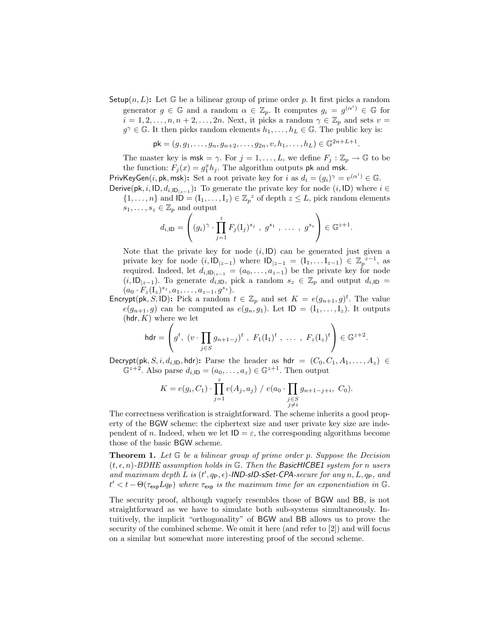Setup $(n, L)$ : Let G be a bilinear group of prime order p. It first picks a random generator  $g \in \mathbb{G}$  and a random  $\alpha \in \mathbb{Z}_p$ . It computes  $g_i = g^{(\alpha^i)} \in \mathbb{G}$  for  $i = 1, 2, \ldots, n, n + 2, \ldots, 2n$ . Next, it picks a random  $\gamma \in \mathbb{Z}_p$  and sets  $v =$  $g^{\gamma} \in \mathbb{G}$ . It then picks random elements  $h_1, \ldots, h_L \in \mathbb{G}$ . The public key is:

$$
\mathsf{pk} = (g, g_1, \dots, g_n, g_{n+2}, \dots, g_{2n}, v, h_1, \dots, h_L) \in \mathbb{G}^{2n+L+1}.
$$

The master key is  $\mathsf{msk} = \gamma$ . For  $j = 1, ..., L$ , we define  $F_j : \mathbb{Z}_p \to \mathbb{G}$  to be the function:  $F_j(x) = g_1^x h_j$ . The algorithm outputs pk and msk.

PrivKeyGen(*i*, pk, msk): Set a root private key for *i* as  $d_i = (g_i)^\gamma = v^{(\alpha^i)} \in \mathbb{G}$ .

Derive(pk, i, ID,  $d_{i,\text{ID}_{|z-1}}$ ): To generate the private key for node  $(i,\text{ID})$  where  $i \in$  $\{1,\ldots,n\}$  and  $ID = (I_1,\ldots,I_z) \in \mathbb{Z}_p^z$  of depth  $z \leq L$ , pick random elements  $s_1, \ldots, s_z \in \mathbb{Z}_p$  and output  $\mathbf{r}$ 

$$
d_{i,\mathsf{ID}} = \left( (g_i)^\gamma \cdot \prod_{j=1}^z F_j(\mathsf{I}_j)^{s_j} , g^{s_1} , \ldots , g^{s_z} \right) \in \mathbb{G}^{z+1}.
$$

Note that the private key for node  $(i, \mathsf{ID})$  can be generated just given a private key for node  $(i, \mathsf{ID}_{|z-1})$  where  $\mathsf{ID}_{|z-1} = (\mathsf{I}_1, \dots, \mathsf{I}_{z-1}) \in \mathbb{Z}_p^{z-1}$ , as required. Indeed, let  $d_{i,|\mathsf{D}|_{z-1}} = (a_0,\ldots,a_{z-1})$  be the private key for node  $(i, \mathsf{ID}_{|z-1})$ . To generate  $d_{i,\mathsf{ID}}$ , pick a random  $s_z \in \mathbb{Z}_p$  and output  $d_{i,\mathsf{ID}} =$  $(a_0 \cdot F_z(I_z)^{s_z}, a_1, \ldots, a_{z-1}, g^{s_z}).$ 

Encrypt(pk, S, ID): Pick a random  $t \in \mathbb{Z}_p$  and set  $K = e(g_{n+1}, g)^t$ . The value  $e(g_{n+1}, g)$  can be computed as  $e(g_n, g_1)$ . Let  $ID = (I_1, \ldots, I_z)$ . It outputs  $(hdr, K)$  where we let  $\mathbf{r}$ 

$$
\mathsf{hdr} = \left(g^t, \; (v \cdot \prod_{j \in S} g_{n+1-j})^t, \; F_1(\mathrm{I}_1)^t, \; \ldots, \; F_z(\mathrm{I}_z)^t\right) \in \mathbb{G}^{z+2}.
$$

Decrypt(pk, S, i,  $d_{i,\text{ID}}$ , hdr): Parse the header as hdr =  $(C_0, C_1, A_1, \ldots, A_z)$   $\in$  $\mathbb{G}^{z+2}$ . Also parse  $d_{i,\mathsf{ID}} = (a_0, \ldots, a_z) \in \mathbb{G}^{z+1}$ . Then output

$$
K = e(g_i, C_1) \cdot \prod_{j=1}^{z} e(A_j, a_j) / e(a_0 \cdot \prod_{\substack{j \in S \\ j \neq i}} g_{n+1-j+i}, C_0).
$$

The correctness verification is straightforward. The scheme inherits a good property of the BGW scheme: the ciphertext size and user private key size are independent of n. Indeed, when we let  $ID = \varepsilon$ , the corresponding algorithms become those of the basic BGW scheme.

**Theorem 1.** Let  $G$  be a bilinear group of prime order p. Suppose the Decision  $(t, \epsilon, n)$ -BDHE assumption holds in G. Then the BasicHICBE1 system for n users and maximum depth L is  $(t', q_P, \epsilon)$ -IND-sID-sSet-CPA-secure for any  $n, L, q_P$ , and  $t' < t - \Theta(\tau_{\exp} L q_{\text{P}})$  where  $\tau_{\exp}$  is the maximum time for an exponentiation in G.

The security proof, although vaguely resembles those of BGW and BB, is not straightforward as we have to simulate both sub-systems simultaneously. Intuitively, the implicit "orthogonality" of BGW and BB allows us to prove the security of the combined scheme. We omit it here (and refer to [2]) and will focus on a similar but somewhat more interesting proof of the second scheme.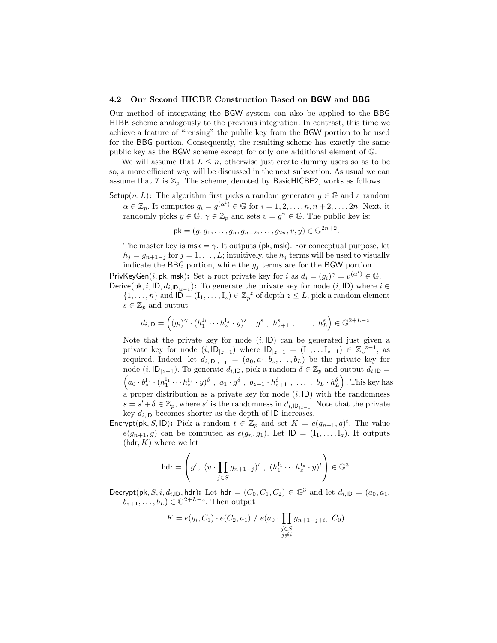#### 4.2 Our Second HICBE Construction Based on BGW and BBG

Our method of integrating the BGW system can also be applied to the BBG HIBE scheme analogously to the previous integration. In contrast, this time we achieve a feature of "reusing" the public key from the BGW portion to be used for the BBG portion. Consequently, the resulting scheme has exactly the same public key as the BGW scheme except for only one additional element of G.

We will assume that  $L \leq n$ , otherwise just create dummy users so as to be so; a more efficient way will be discussed in the next subsection. As usual we can assume that  $\mathcal I$  is  $\mathbb{Z}_p$ . The scheme, denoted by BasicHICBE2, works as follows.

Setup(n, L): The algorithm first picks a random generator  $g \in \mathbb{G}$  and a random  $\alpha \in \mathbb{Z}_p$ . It computes  $g_i = g^{(\alpha^i)} \in \mathbb{G}$  for  $i = 1, 2, \ldots, n, n+2, \ldots, 2n$ . Next, it randomly picks  $y \in \mathbb{G}$ ,  $\gamma \in \mathbb{Z}_p$  and sets  $v = g^{\gamma} \in \mathbb{G}$ . The public key is:

$$
pk = (g, g_1, \ldots, g_n, g_{n+2}, \ldots, g_{2n}, v, y) \in \mathbb{G}^{2n+2}.
$$

The master key is  $msk = \gamma$ . It outputs (pk, msk). For conceptual purpose, let  $h_j = g_{n+1-j}$  for  $j = 1, \ldots, L$ ; intuitively, the  $h_j$  terms will be used to visually indicate the BBG portion, while the  $g_i$  terms are for the BGW portion.

PrivKeyGen(*i*, pk, msk): Set a root private key for *i* as  $d_i = (g_i)^\gamma = v^{(\alpha^i)} \in \mathbb{G}$ . Derive(pk, i, ID,  $d_{i,\text{ID}_{|z-1}}$ ): To generate the private key for node  $(i,\text{ID})$  where  $i \in$ 

 $\{1,\ldots,n\}$  and  $\mathsf{ID}=(\mathsf{I}_1,\ldots,\mathsf{I}_z)\in\mathbb{Z}_p^{\ z}$  of depth  $z\leq L$ , pick a random element  $s \in \mathbb{Z}_p$  and output

$$
d_{i,\mathsf{ID}} = ((g_i)^{\gamma} \cdot (h_1^{\mathsf{I}_1} \cdots h_z^{\mathsf{I}_z} \cdot y)^s, g^s, h_{z+1}^s, \ldots, h_L^s) \in \mathbb{G}^{2+L-z}.
$$

Note that the private key for node  $(i, \mathsf{ID})$  can be generated just given a private key for node  $(i, \mathsf{ID}_{|z-1})$  where  $\mathsf{ID}_{|z-1} = (\mathsf{I}_1, \dots, \mathsf{I}_{z-1}) \in \mathbb{Z}_p^{z-1}$ , as required. Indeed, let  $d_{i,\mathsf{ID}_{|z-1}} = (a_0, a_1, b_z, \ldots, b_L)$  be the private key for node  $(i, \mathsf{ID}_{|z-1})$ . To generate  $d_{i, \mathsf{ID}}$ , pick a random  $\delta \in \mathbb{Z}_p$  and output  $d_{i, \mathsf{ID}} =$  $a_0\cdot b_z^{I_z}\cdot (h_1^{I_1}\cdots h_z^{I_z}\cdot y)^{\delta}$  ,  $a_1\cdot g^{\delta}$  ,  $b_{z+1}\cdot h_{z+1}^{\delta}$  ,  $\ldots$  ,  $b_L\cdot h_L^{\delta}\Big)$  . This key has a proper distribution as a private key for node  $(i, \mathsf{ID})$  with the randomness  $s = s' + \delta \in \mathbb{Z}_p$ , where s' is the randomness in  $d_{i,\mathsf{ID}_{|z-1}}$ . Note that the private key  $d_{i,\text{ID}}$  becomes shorter as the depth of ID increases.

Encrypt(pk, S, ID): Pick a random  $t \in \mathbb{Z}_p$  and set  $K = e(g_{n+1}, g)^t$ . The value  $e(g_{n+1}, g)$  can be computed as  $e(g_n, g_1)$ . Let  $ID = (I_1, \ldots, I_z)$ . It outputs  $(hdr, K)$  where we let

$$
\mathsf{hdr} = \left(g^t, \ (v \cdot \prod_{j \in S} g_{n+1-j})^t \ , \ (h_1^{\mathrm{I}_1} \cdots h_z^{\mathrm{I}_z} \cdot y)^t\right) \in \mathbb{G}^3
$$

.

Decrypt(pk, S, i,  $d_{i, ID}$ , hdr): Let hdr =  $(C_0, C_1, C_2) \in \mathbb{G}^3$  and let  $d_{i, ID} = (a_0, a_1, a_2)$  $(b_{z+1}, \ldots, b_L) \in \mathbb{G}^{2+L-z}$ . Then output

$$
K = e(g_i, C_1) \cdot e(C_2, a_1) / e(a_0 \cdot \prod_{\substack{j \in S \\ j \neq i}} g_{n+1-j+i}, C_0).
$$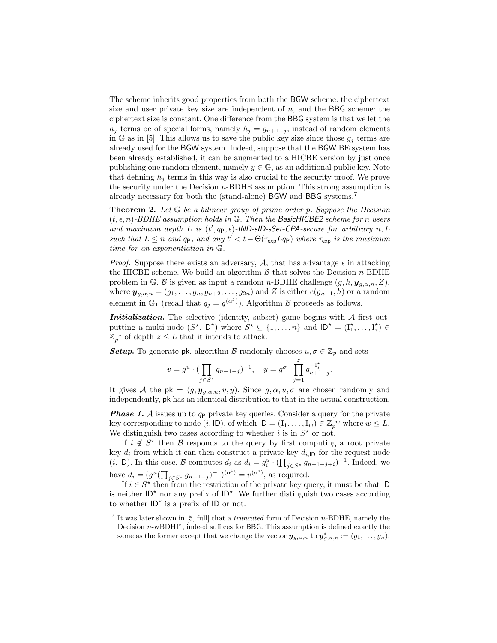The scheme inherits good properties from both the BGW scheme: the ciphertext size and user private key size are independent of  $n$ , and the BBG scheme: the ciphertext size is constant. One difference from the BBG system is that we let the  $h_j$  terms be of special forms, namely  $h_j = g_{n+1-j}$ , instead of random elements in G as in [5]. This allows us to save the public key size since those  $g_i$  terms are already used for the BGW system. Indeed, suppose that the BGW BE system has been already established, it can be augmented to a HICBE version by just once publishing one random element, namely  $y \in \mathbb{G}$ , as an additional public key. Note that defining  $h_i$  terms in this way is also crucial to the security proof. We prove the security under the Decision  $n$ -BDHE assumption. This strong assumption is already necessary for both the (stand-alone) BGW and BBG systems.<sup>7</sup>

**Theorem 2.** Let  $G$  be a bilinear group of prime order p. Suppose the Decision  $(t, \epsilon, n)$ -BDHE assumption holds in G. Then the BasicHICBE2 scheme for n users and maximum depth L is  $(t', q_P, \epsilon)$ -IND-sID-sSet-CPA-secure for arbitrary  $n, L$ such that  $L \leq n$  and  $q_{\text{P}}$ , and any  $t' < t - \Theta(\tau_{\text{exp}}Lq_{\text{P}})$  where  $\tau_{\text{exp}}$  is the maximum time for an exponentiation in G.

*Proof.* Suppose there exists an adversary, A, that has advantage  $\epsilon$  in attacking the HICBE scheme. We build an algorithm  $\beta$  that solves the Decision n-BDHE problem in G. B is given as input a random n-BDHE challenge  $(g, h, \mathbf{y}_{q,\alpha,n}, Z)$ , where  $y_{g,\alpha,n} = (g_1,\ldots,g_n,g_{n+2},\ldots,g_{2n})$  and Z is either  $e(g_{n+1},h)$  or a random element in  $\mathbb{G}_1$  (recall that  $g_j = g^{(\alpha^j)}$ ). Algorithm B proceeds as follows.

**Initialization.** The selective (identity, subset) game begins with  $A$  first outputting a multi-node  $(S^*, \mathsf{ID}^*)$  where  $S^* \subseteq \{1, ..., n\}$  and  $\mathsf{ID}^* = (\mathbf{I}_1^*, ..., \mathbf{I}_z^*) \in$  $\mathbb{Z}_p^z$  of depth  $z \leq L$  that it intends to attack.

**Setup.** To generate pk, algorithm B randomly chooses  $u, \sigma \in \mathbb{Z}_p$  and sets

$$
v = g^u \cdot (\prod_{j \in S^*} g_{n+1-j})^{-1}, \quad y = g^{\sigma} \cdot \prod_{j=1}^z g_{n+1-j}^{-1}.
$$

It gives A the  $pk = (g, y_{q,\alpha,n}, v, y)$ . Since  $g, \alpha, u, \sigma$  are chosen randomly and independently, pk has an identical distribution to that in the actual construction.

**Phase 1.** A issues up to  $q_P$  private key queries. Consider a query for the private key corresponding to node  $(i, \mathsf{ID})$ , of which  $\mathsf{ID} = (\mathsf{I}_1, \ldots, \mathsf{I}_w) \in \mathbb{Z}_p^{\ w}$  where  $w \leq L$ . We distinguish two cases according to whether i is in  $S^*$  or not.

If  $i \notin S^*$  then B responds to the query by first computing a root private key  $d_i$  from which it can then construct a private key  $d_{i, \text{ID}}$  for the request node (*i*, ID). In this case, B computes  $d_i$  as  $d_i = g_i^u \cdot (\prod_{j \in S^*} g_{n+1-j+i})^{-1}$ . Indeed, we have  $d_i = (g^u(\prod_{j \in S^*} g_{n+1-j})^{-1})^{(\alpha^i)} = v^{(\alpha^i)}$ , as required.

If  $i \in S^*$  then from the restriction of the private key query, it must be that ID is neither  $ID^*$  nor any prefix of  $ID^*$ . We further distinguish two cases according to whether  $ID^*$  is a prefix of  $ID$  or not.

<sup>&</sup>lt;sup>7</sup> It was later shown in [5, full] that a *truncated* form of Decision  $n$ -BDHE, namely the Decision *n*-wBDHI<sup>\*</sup>, indeed suffices for BBG. This assumption is defined exactly the same as the former except that we change the vector  $y_{g,\alpha,n}$  to  $y_{g,\alpha,n}^* := (g_1, \ldots, g_n)$ .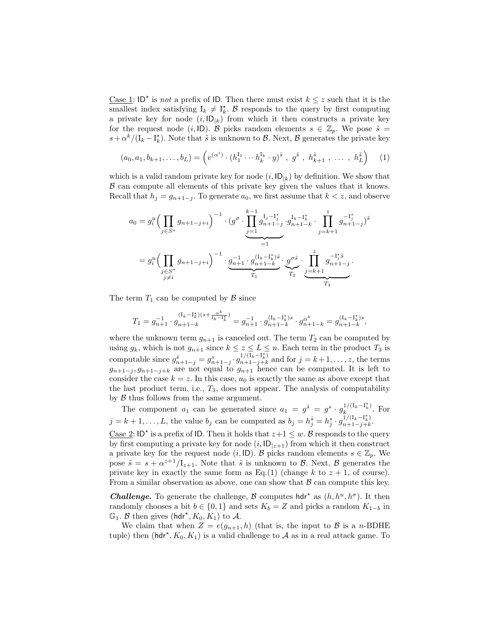Case 1: ID<sup>\*</sup> is not a prefix of ID. Then there must exist  $k \leq z$  such that it is the smallest index satisfying  $I_k \neq I_k^*$ . B responds to the query by first computing a private key for node  $(i, \mathsf{ID}_{k})$  from which it then constructs a private key for the request node (*i*, ID). B picks random elements  $s \in \mathbb{Z}_p$ . We pose  $\tilde{s} =$  $s + \alpha^k / (I_k - I_k^*)$ . Note that  $\tilde{s}$  is unknown to  $\mathcal{B}$ . Next,  $\mathcal{B}$  generates the private key

$$
(a_0, a_1, b_{k+1}, \dots, b_L) = \left(v^{(\alpha^i)} \cdot (h_1^{1_1} \cdots h_k^{1_k} \cdot y)^{\tilde{s}}, g^{\tilde{s}}, h_{k+1}^{\tilde{s}}, \dots, h_L^{\tilde{s}}\right)
$$
 (1)

which is a valid random private key for node  $(i, \mathsf{ID}_{|k})$  by definition. We show that B can compute all elements of this private key given the values that it knows. Recall that  $h_j = g_{n+1-j}$ . To generate  $a_0$ , we first assume that  $k < z$ , and observe

$$
a_0 = g_i^u \left( \prod_{j \in S^*} g_{n+1-j+i} \right)^{-1} \cdot \left( g^{\sigma} \cdot \underbrace{\prod_{j=1}^{k-1} g_{n+1-j}^{I_j - I_j^*}}_{=1} \cdot g_{n+1-k}^{I_{k-1}} \cdot \prod_{j=k+1}^{z} g_{n+1-j}^{-I_j^*} \right)^{\tilde{s}}
$$
  
= 
$$
g_i^u \left( \prod_{\substack{j \in S^* \\ j \neq i}} g_{n+1-j+i} \right)^{-1} \cdot \underbrace{g_{n+1}^{-1} \cdot g_{n+1-k}^{(I_k - I_k^*)\tilde{s}}}_{T_1} \cdot \underbrace{g^{\sigma \tilde{s}}}_{T_2} \cdot \underbrace{\prod_{j=k+1}^{z} g_{n+1-j}^{-I_j^* \tilde{s}}}_{T_3}.
$$

The term  $T_1$  can be computed by  $\beta$  since

$$
T_1 = g_{n+1}^{-1} \cdot g_{n+1-k}^{(I_k - I_k^{\star})(s + \frac{\alpha^k}{I_k - I_k^{\star}})} = g_{n+1}^{-1} \cdot g_{n+1-k}^{(I_k - I_k^{\star})s} \cdot g_{n+1-k}^{\alpha^k} = g_{n+1-k}^{(I_k - I_k^{\star})s},
$$

where the unknown term  $g_{n+1}$  is canceled out. The term  $T_2$  can be computed by using  $g_k$ , which is not  $g_{n+1}$  since  $k \leq z \leq L \leq n$ . Each term in the product  $T_3$  is computable since  $g_{n+1-j}^{\tilde{s}} = g_{n+1-j}^s \cdot g_{n+1-j+k}^{1/(I_k - I_k^*)}$  $_{n+1-j+k}^{1/(1_k-1_k)}$  and for  $j=k+1,\ldots,z$ , the terms  $g_{n+1-j}, g_{n+1-j+k}$  are not equal to  $g_{n+1}$  hence can be computed. It is left to consider the case  $k = z$ . In this case,  $a_0$  is exactly the same as above except that the last product term, i.e.,  $T_3$ , does not appear. The analysis of computability by  $\beta$  thus follows from the same argument.

The component  $a_1$  can be generated since  $a_1 = g^{\tilde{s}} = g^s \cdot g_k^{1/(I_k - I_k^*)}$  $k^{1/(1_k-1_k)}$ . For  $j = k+1, \ldots, L$ , the value  $b_j$  can be computed as  $b_j = h_j^{\tilde{s}} = h_j^s \cdot g_{n+1-j+k}^{\tilde{1}/(I_k-I_k^*)}$  $n+1-j+k$ 

Case 2: ID<sup>\*</sup> is a prefix of ID. Then it holds that  $z+1 \leq w$ . B responds to the query by first computing a private key for node  $(i, \mathsf{ID}_{|z+1})$  from which it then construct a private key for the request node  $(i, \mathsf{ID})$ . B picks random elements  $s \in \mathbb{Z}_p$ . We pose  $\tilde{s} = s + \alpha^{z+1}/I_{z+1}$ . Note that  $\tilde{s}$  is unknown to  $\mathcal{B}$ . Next,  $\mathcal{B}$  generates the private key in exactly the same form as Eq.(1) (change k to  $z + 1$ , of course). From a similar observation as above, one can show that  $\beta$  can compute this key.

**Challenge.** To generate the challenge,  $\beta$  computes hdr<sup>\*</sup> as  $(h, h^u, h^{\sigma})$ . It then randomly chooses a bit  $b \in \{0, 1\}$  and sets  $K_b = Z$  and picks a random  $K_{1-b}$  in  $\mathbb{G}_1$ . B then gives  $(\mathsf{hdr}^\star, K_0, K_1)$  to A.

We claim that when  $Z = e(g_{n+1}, h)$  (that is, the input to B is a n-BDHE tuple) then  $(\mathsf{hdr}^\star, K_0, K_1)$  is a valid challenge to A as in a real attack game. To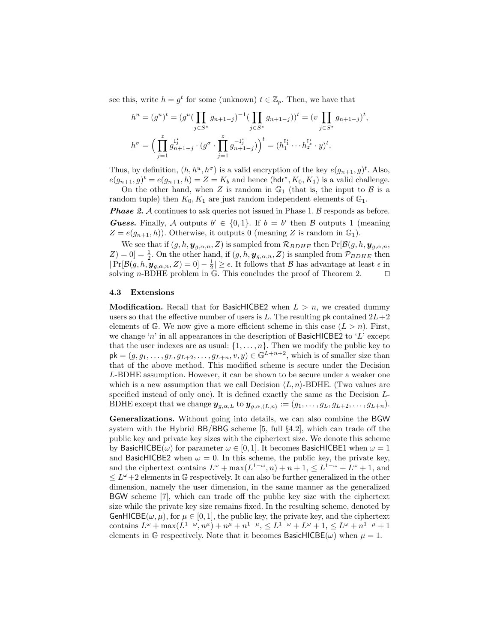see this, write  $h = g^t$  for some (unknown)  $t \in \mathbb{Z}_p$ . Then, we have that

$$
h^{u} = (g^{u})^{t} = (g^{u} (\prod_{j \in S^{*}} g_{n+1-j})^{-1} (\prod_{j \in S^{*}} g_{n+1-j}))^{t} = (v \prod_{j \in S^{*}} g_{n+1-j})^{t},
$$
  

$$
h^{\sigma} = \left( \prod_{j=1}^{z} g_{n+1-j}^{\mathrm{I}_{j}^{*}} \cdot (g^{\sigma} \cdot \prod_{j=1}^{z} g_{n+1-j}^{-\mathrm{I}_{j}^{*}}) \right)^{t} = (h_{1}^{\mathrm{I}_{1}^{*}} \cdots h_{z}^{\mathrm{I}_{z}^{*}} \cdot y)^{t}.
$$

Thus, by definition,  $(h, h^u, h^\sigma)$  is a valid encryption of the key  $e(g_{n+1}, g)^t$ . Also,  $e(g_{n+1}, g)^t = e(g_{n+1}, h) = Z = K_b$  and hence (hdr<sup>\*</sup>,  $K_0, K_1$ ) is a valid challenge.

On the other hand, when Z is random in  $\mathbb{G}_1$  (that is, the input to B is a random tuple) then  $K_0, K_1$  are just random independent elements of  $\mathbb{G}_1$ .

**Phase 2.** A continues to ask queries not issued in Phase 1.  $\beta$  responds as before.

**Guess.** Finally, A outputs  $b' \in \{0, 1\}$ . If  $b = b'$  then B outputs 1 (meaning  $Z = e(g_{n+1}, h)$ . Otherwise, it outputs 0 (meaning Z is random in  $\mathbb{G}_1$ ).

We see that if  $(g, h, \mathbf{y}_{g,\alpha,n}, Z)$  is sampled from  $\mathcal{R}_{BDHE}$  then  $Pr[\mathcal{B}(g, h, \mathbf{y}_{g,\alpha,n}, Z)]$  $Z$ ) = 0] =  $\frac{1}{2}$ . On the other hand, if  $(g, h, y_{g,\alpha,n}, Z)$  is sampled from  $\mathcal{P}_{BDHE}$  then  $|\Pr[\mathcal{B}(g, h, \mathbf{y}_{g,\alpha,n}, Z) = 0] - \frac{1}{2}| \ge \epsilon$ . It follows that  $\beta$  has advantage at least  $\epsilon$  in solving *n*-BDHE problem in  $\mathbb{G}$ . This concludes the proof of Theorem 2.  $\Box$ 

#### 4.3 Extensions

**Modification.** Recall that for BasicHICBE2 when  $L > n$ , we created dummy users so that the effective number of users is L. The resulting pk contained  $2L+2$ elements of G. We now give a more efficient scheme in this case  $(L > n)$ . First, we change 'n' in all appearances in the description of BasicHICBE2 to 'L' except that the user indexes are as usual:  $\{1, \ldots, n\}$ . Then we modify the public key to  $pk = (g, g_1, \ldots, g_L, g_{L+2}, \ldots, g_{L+n}, v, y) \in \mathbb{G}^{L+n+2}$ , which is of smaller size than that of the above method. This modified scheme is secure under the Decision L-BDHE assumption. However, it can be shown to be secure under a weaker one which is a new assumption that we call Decision  $\langle L, n \rangle$ -BDHE. (Two values are specified instead of only one). It is defined exactly the same as the Decision L-BDHE except that we change  $\mathbf{y}_{g,\alpha,L}$  to  $\mathbf{y}_{g,\alpha,L,L,n} := (g_1, \ldots, g_L, g_{L+2}, \ldots, g_{L+n}).$ 

Generalizations. Without going into details, we can also combine the BGW system with the Hybrid BB/BBG scheme [5, full §4.2], which can trade off the public key and private key sizes with the ciphertext size. We denote this scheme by BasicHICBE( $\omega$ ) for parameter  $\omega \in [0, 1]$ . It becomes BasicHICBE1 when  $\omega = 1$ and BasicHICBE2 when  $\omega = 0$ . In this scheme, the public key, the private key, and the ciphertext contains  $L^{\omega}$  + max $(L^{1-\omega}, n)$  + n + 1,  $\leq L^{1-\omega}$  +  $L^{\omega}$  + 1, and  $\leq L^{\omega}+2$  elements in G respectively. It can also be further generalized in the other dimension, namely the user dimension, in the same manner as the generalized BGW scheme [7], which can trade off the public key size with the ciphertext size while the private key size remains fixed. In the resulting scheme, denoted by **GenHICBE**( $\omega, \mu$ ), for  $\mu \in [0, 1]$ , the public key, the private key, and the ciphertext contains  $L^{\omega}$  + max $(L^{1-\omega}, n^{\mu})$  +  $n^{\mu}$  +  $n^{1-\mu}$ ,  $\leq L^{1-\omega}$  +  $L^{\omega}$  + 1,  $\leq L^{\omega}$  +  $n^{1-\mu}$  + 1 elements in G respectively. Note that it becomes  $\textsf{BasicHICE}(\omega)$  when  $\mu = 1$ .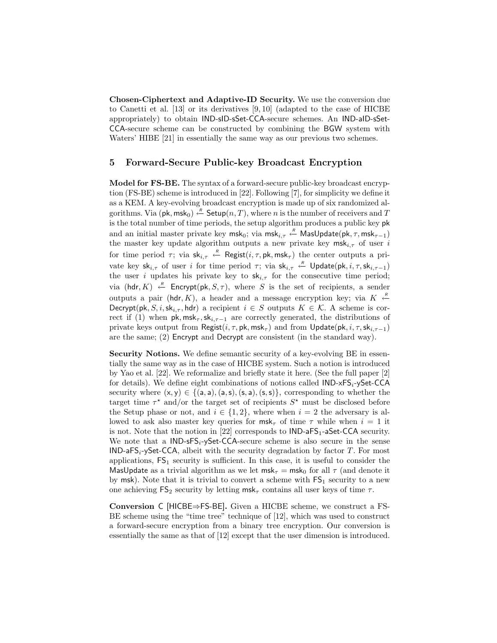Chosen-Ciphertext and Adaptive-ID Security. We use the conversion due to Canetti et al. [13] or its derivatives [9, 10] (adapted to the case of HICBE appropriately) to obtain IND-sID-sSet-CCA-secure schemes. An IND-aID-sSet-CCA-secure scheme can be constructed by combining the BGW system with Waters' HIBE [21] in essentially the same way as our previous two schemes.

## 5 Forward-Secure Public-key Broadcast Encryption

Model for FS-BE. The syntax of a forward-secure public-key broadcast encryption (FS-BE) scheme is introduced in [22]. Following [7], for simplicity we define it as a KEM. A key-evolving broadcast encryption is made up of six randomized algorithms. Via (pk, msk<sub>0</sub>)  $\stackrel{\kappa}{\leftarrow}$  Setup $(n,T)$ , where n is the number of receivers and T is the total number of time periods, the setup algorithm produces a public key pk and an initial master private key msk<sub>0</sub>; via msk<sub>i, $\tau \stackrel{\mathcal{R}}{\leftarrow}$  MasUpdate(pk,  $\tau$ , msk<sub> $\tau-1$ </sub>)</sub> the master key update algorithm outputs a new private key  $\mathsf{msk}_{i,\tau}$  of user i for time period  $\tau$ ; via sk<sub>i, $\tau \leftarrow^R$ </sub> Regist $(i, \tau, \mathsf{pk}, \mathsf{msk}_{\tau})$  the center outputs a private key sk<sub>i,</sub> $\tau$  of user i for time period  $\tau$ ; via sk<sub>i, $\tau \leftarrow$ </sub> Update(pk, i,  $\tau$ , sk<sub>i, $\tau$ </sub>-1) the user i updates his private key to  $sk_{i,\tau}$  for the consecutive time period; via (hdr, K)  $\xleftarrow{\text{R}}$  Encrypt(pk, S,  $\tau$ ), where S is the set of recipients, a sender outputs a pair (hdr, K), a header and a message encryption key; via  $K \stackrel{\kappa}{\leftarrow}$ Decrypt(pk, S, i, sk<sub>i,τ</sub>, hdr) a recipient  $i \in S$  outputs  $K \in \mathcal{K}$ . A scheme is correct if (1) when pk, msk<sub>τ</sub>, sk<sub>i,τ−1</sub> are correctly generated, the distributions of private keys output from Regist( $i, \tau$ , pk, msk<sub> $\tau$ </sub>) and from Update(pk,  $i, \tau$ , sk<sub>i, $\tau$ -1)</sub> are the same; (2) Encrypt and Decrypt are consistent (in the standard way).

Security Notions. We define semantic security of a key-evolving BE in essentially the same way as in the case of HICBE system. Such a notion is introduced by Yao et al. [22]. We reformalize and briefly state it here. (See the full paper [2] for details). We define eight combinations of notions called  $IND-xFS_i-ySet-CCA$ security where  $(x, y) \in \{(a, a), (a, s), (s, a), (s, s)\}\)$ , corresponding to whether the target time  $\tau^*$  and/or the target set of recipients  $S^*$  must be disclosed before the Setup phase or not, and  $i \in \{1,2\}$ , where when  $i = 2$  the adversary is allowed to ask also master key queries for  $m s k_{\tau}$  of time  $\tau$  while when  $i = 1$  it is not. Note that the notion in  $[22]$  corresponds to  $IND-aFS<sub>1</sub>-aSet-CCA$  security. We note that a  $IND- sFS<sub>i</sub>-ySet-CCA$ -secure scheme is also secure in the sense  $IND-aFS_i-ySet-CCA$ , albeit with the security degradation by factor T. For most applications,  $FS_1$  security is sufficient. In this case, it is useful to consider the MasUpdate as a trivial algorithm as we let  $m s k_{\tau} = m s k_0$  for all  $\tau$  (and denote it by msk). Note that it is trivial to convert a scheme with  $FS_1$  security to a new one achieving  $FS_2$  security by letting  $msk_\tau$  contains all user keys of time  $\tau$ .

Conversion C [HICBE⇒FS-BE]. Given a HICBE scheme, we construct a FS-BE scheme using the "time tree" technique of [12], which was used to construct a forward-secure encryption from a binary tree encryption. Our conversion is essentially the same as that of [12] except that the user dimension is introduced.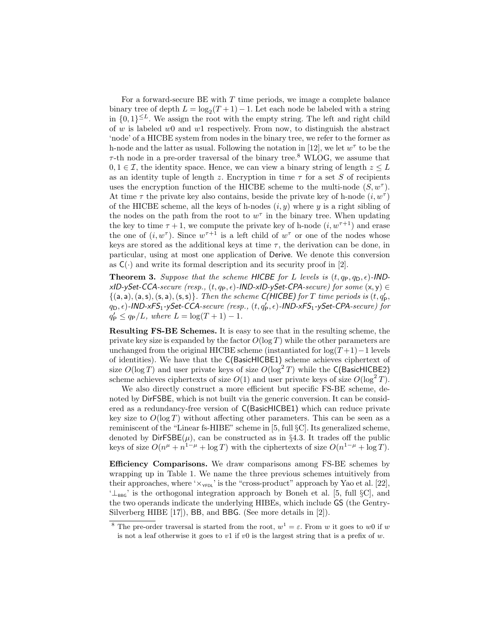For a forward-secure BE with  $T$  time periods, we image a complete balance binary tree of depth  $L = \log_2(T+1) - 1$ . Let each node be labeled with a string in  $\{0,1\}^{\leq L}$ . We assign the root with the empty string. The left and right child of w is labeled w0 and w1 respectively. From now, to distinguish the abstract 'node' of a HICBE system from nodes in the binary tree, we refer to the former as h-node and the latter as usual. Following the notation in [12], we let  $w^{\tau}$  to be the  $\tau$ -th node in a pre-order traversal of the binary tree.<sup>8</sup> WLOG, we assume that  $0, 1 \in \mathcal{I}$ , the identity space. Hence, we can view a binary string of length  $z \leq L$ as an identity tuple of length z. Encryption in time  $\tau$  for a set S of recipients uses the encryption function of the HICBE scheme to the multi-node  $(S, w^{\tau})$ . At time  $\tau$  the private key also contains, beside the private key of h-node  $(i, w^{\tau})$ of the HICBE scheme, all the keys of h-nodes  $(i, y)$  where y is a right sibling of the nodes on the path from the root to  $w^{\tau}$  in the binary tree. When updating the key to time  $\tau + 1$ , we compute the private key of h-node  $(i, w^{\tau+1})$  and erase the one of  $(i, w^{\tau})$ . Since  $w^{\tau+1}$  is a left child of  $w^{\tau}$  or one of the nodes whose keys are stored as the additional keys at time  $\tau$ , the derivation can be done, in particular, using at most one application of Derive. We denote this conversion as  $C(\cdot)$  and write its formal description and its security proof in [2].

**Theorem 3.** Suppose that the scheme HICBE for L levels is  $(t, q_P, q_D, \epsilon)$ -INDxID-ySet-CCA-secure (resp.,  $(t, q_P, \epsilon)$ -IND-xID-ySet-CPA-secure) for some  $(x, y) \in$  $\{(a, a), (a, s), (s, a), (s, s)\}.$  Then the scheme  $C(HICBE)$  for T time periods is  $(t, q_P^{\prime})$ .  $q_D, \epsilon$ )-IND-xFS<sub>1</sub>-ySet-CCA-secure (resp.,  $(t, q'_P, \epsilon)$ -IND-xFS<sub>1</sub>-ySet-CPA-secure) for  $q'_{\rm P} \leq q_{\rm P}/L$ , where  $L = \log(T + 1) - 1$ .

Resulting FS-BE Schemes. It is easy to see that in the resulting scheme, the private key size is expanded by the factor  $O(\log T)$  while the other parameters are unchanged from the original HICBE scheme (instantiated for  $log(T+1)-1$  levels of identities). We have that the  $C(BasicHICBE1)$  scheme achieves ciphertext of size  $O(\log T)$  and user private keys of size  $O(\log^2 T)$  while the C(BasicHICBE2) scheme achieves ciphertexts of size  $O(1)$  and user private keys of size  $O(\log^2 T)$ .

We also directly construct a more efficient but specific FS-BE scheme, denoted by DirFSBE, which is not built via the generic conversion. It can be considered as a redundancy-free version of C(BasicHICBE1) which can reduce private key size to  $O(\log T)$  without affecting other parameters. This can be seen as a reminiscent of the "Linear fs-HIBE" scheme in [5, full §C]. Its generalized scheme, denoted by  $DirFSBE(\mu)$ , can be constructed as in §4.3. It trades off the public keys of size  $O(n^{\mu} + n^{1-\mu} + \log T)$  with the ciphertexts of size  $O(n^{1-\mu} + \log T)$ .

Efficiency Comparisons. We draw comparisons among FS-BE schemes by wrapping up in Table 1. We name the three previous schemes intuitively from their approaches, where ' $\times_{YFDL}$ ' is the "cross-product" approach by Yao et al. [22],  $\perp$ <sub>BBG</sub>' is the orthogonal integration approach by Boneh et al. [5, full §C], and the two operands indicate the underlying HIBEs, which include GS (the Gentry-Silverberg HIBE [17]), BB, and BBG. (See more details in [2]).

<sup>&</sup>lt;sup>8</sup> The pre-order traversal is started from the root,  $w^1 = \varepsilon$ . From w it goes to w0 if w is not a leaf otherwise it goes to v1 if v0 is the largest string that is a prefix of w.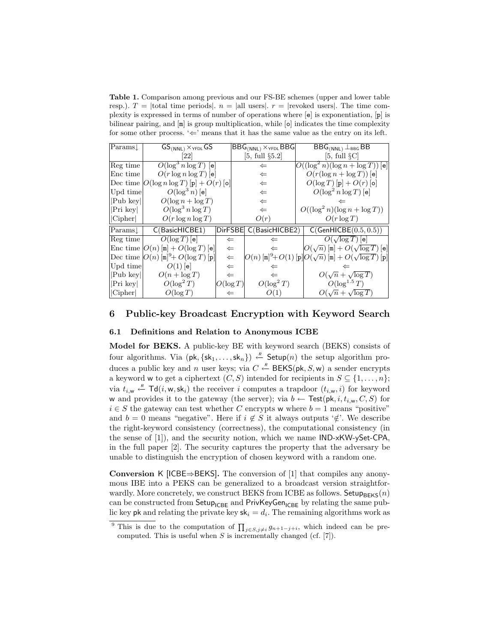Table 1. Comparison among previous and our FS-BE schemes (upper and lower table resp.).  $T =$  |total time periods|.  $n =$ |all users|.  $r =$ |revoked users|. The time complexity is expressed in terms of number of operations where [e] is exponentiation, [p] is bilinear pairing, and  $[m]$  is group multiplication, while  $[\circ]$  indicates the time complexity for some other process. ' $\Leftarrow$ ' means that it has the same value as the entry on its left.

| $\text{Parameters}$   | $GS$ <sub>(NNL)</sub> $\times$ <sub>YFDL</sub> GS            |               |              | $ {\sf BBG}_{(NNL)} \times_{\sf YFDL} {\sf BBG}$ |  | $\mathsf{BBG}_{(\mathsf{NNL})} \perp_{\mathsf{BBG}} \mathsf{BB}$                  |
|-----------------------|--------------------------------------------------------------|---------------|--------------|--------------------------------------------------|--|-----------------------------------------------------------------------------------|
|                       | 22                                                           |               |              | $[5, \text{full } \S 5.2]$                       |  | $[5, \text{full } \S\text{C}]$                                                    |
| Reg time              | $O(\log^3 n \log T)$ [e]                                     |               | ⇐            |                                                  |  | $O((\log^2 n)(\log n + \log T))$ [e]                                              |
| Enc time              | $O(r \log n \log T)$ [e]                                     |               |              | $\Leftarrow$                                     |  | $O(r(\log n + \log T))$ [e]                                                       |
| Dec time              | $ O(\log n \log T)$ $ p  + O(r)$ $ o $                       |               |              | $\Leftarrow$                                     |  | $O(\log T)$ [p] + $O(r)$ [o]                                                      |
| Upd time              | $O(\log^3 n)$ [e]                                            |               |              | $\Leftarrow$                                     |  | $O(\log^2 n \log T)$ [e]                                                          |
| Pub key               | $O(\log n + \log T)$                                         |               | $\Leftarrow$ |                                                  |  |                                                                                   |
| $ Pri\;key $          | $O(\log^3 n \log T)$                                         |               |              | $\Leftarrow$                                     |  | $O((\log^2 n)(\log n + \log T))$                                                  |
| Cipher                | $O(r \log n \log T)$                                         |               |              | O(r)                                             |  | $O(r \log T)$                                                                     |
| $\text{Parameters}$   | C(BasicHICBE1)                                               |               |              | DirFSBE C(BasicHICBE2)                           |  | C(GenHICEE(0.5, 0.5))                                                             |
| Reg time              | $O(\log T)$ [e]                                              | $\Leftarrow$  |              | $\Leftarrow$                                     |  | $\overline{O(\sqrt{\log T})}$ [e]                                                 |
|                       | Enc time $ O(n)$ $[\mathbf{m}]$ + $O(\log T)$ [e]            | $\Leftarrow$  |              | $\Leftarrow$                                     |  | $ O(\sqrt{n})[{\tt m}]+O(\sqrt{\log T})$ [e]                                      |
|                       | Dec time $ O(n)$ $[\mathbf{m}]^9 + O(\log T)$ $[\mathbf{p}]$ | $\Leftarrow$  |              |                                                  |  | $ O(n)$ [m] <sup>9</sup> + $O(1)$ [p] $ O(\sqrt{n})$ [m] + $O(\sqrt{\log T})$ [p] |
| Upd time              | $O(1)$ [e]                                                   | $\Leftarrow$  |              | ⇐                                                |  |                                                                                   |
| $ Pub \; \text{key} $ | $O(n + \log T)$                                              | $\Leftarrow$  |              | ⇐                                                |  | $O(\sqrt{n} + \sqrt{\log T})$                                                     |
| Pri key               | $O(\log^2 T)$                                                | $ O(\log T) $ |              | $O(\log^2 T)$                                    |  | $O(\log^{1.5} T)$                                                                 |
| Cipher                | $O(\log T)$                                                  |               |              | O(1)                                             |  | $O(\sqrt{n} + \sqrt{\log T})$                                                     |

## 6 Public-key Broadcast Encryption with Keyword Search

#### 6.1 Definitions and Relation to Anonymous ICBE

Model for BEKS. A public-key BE with keyword search (BEKS) consists of four algorithms. Via  $(\mathsf{pk}, \{\mathsf{sk}_1, \ldots, \mathsf{sk}_n\}) \stackrel{\scriptscriptstyle \mathsf{R}}{\leftarrow}$  Setup $(n)$  the setup algorithm produces a public key and *n* user keys; via  $C \stackrel{\kappa}{\leftarrow} \text{BEKS}(\text{pk}, S, w)$  a sender encrypts a keyword w to get a ciphertext  $(C, S)$  intended for recipients in  $S \subseteq \{1, \ldots, n\};$ via  $t_{i,w} \stackrel{\text{R}}{\leftarrow} \textsf{Td}(i,w,\textsf{sk}_i)$  the receiver i computes a trapdoor  $(t_{i,w},i)$  for keyword w and provides it to the gateway (the server); via  $b \leftarrow$  Test(pk, i,  $t_{i,w}, C, S$ ) for  $i \in S$  the gateway can test whether C encrypts w where  $b = 1$  means "positive" and  $b = 0$  means "negative". Here if  $i \notin S$  it always outputs ' $\notin$ '. We describe the right-keyword consistency (correctness), the computational consistency (in the sense of [1]), and the security notion, which we name IND-xKW-ySet-CPA, in the full paper [2]. The security captures the property that the adversary be unable to distinguish the encryption of chosen keyword with a random one.

Conversion K [ICBE⇒BEKS]. The conversion of [1] that compiles any anonymous IBE into a PEKS can be generalized to a broadcast version straightforwardly. More concretely, we construct BEKS from ICBE as follows. Setup $_{BFK}(n)$ can be constructed from  $\mathsf{Setup}_{\mathsf{ICBE}}$  and  $\mathsf{PrivKeyGen}_{\mathsf{ICBE}}$  by relating the same public key pk and relating the private key  $sk_i = d_i$ . The remaining algorithms work as

<sup>&</sup>lt;sup>9</sup> This is due to the computation of  $\prod_{j\in S, j\neq i} g_{n+1-j+i}$ , which indeed can be precomputed. This is useful when  $S$  is incrementally changed (cf. [7]).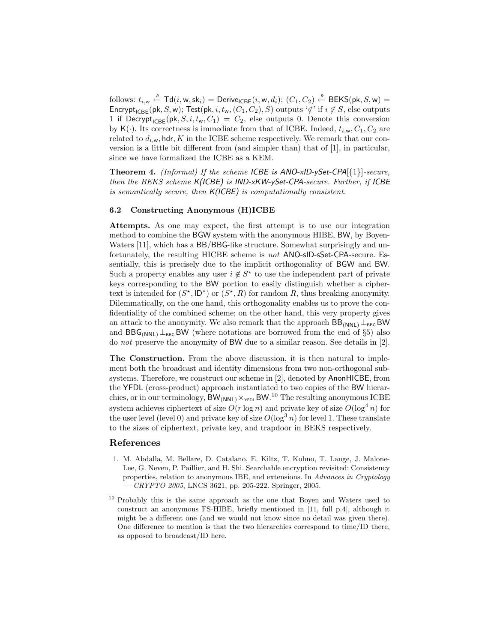follows:  $t_{i,w} \stackrel{\mathcal{R}}{\leftarrow} \mathsf{Td}(i,w,\mathsf{sk}_i) = \mathsf{Derive}_{\mathsf{ICBE}}(i,w,d_i);$   $(C_1,C_2) \stackrel{\mathcal{R}}{\leftarrow} \mathsf{BEKS}(\mathsf{pk},S,w) =$ Encrypt<sub>ICBE</sub>(pk, S, w); Test(pk, i, t<sub>w</sub>,  $(C_1, C_2)$ , S) outputs ' $\notin$ ' if i  $\notin S$ , else outputs 1 if Decrypt<sub>ICBE</sub>(pk, S, i, t<sub>w</sub>, C<sub>1</sub>) = C<sub>2</sub>, else outputs 0. Denote this conversion by  $K(\cdot)$ . Its correctness is immediate from that of ICBE. Indeed,  $t_{i,w}, C_1, C_2$  are related to  $d_{i,w}$ , hdr, K in the ICBE scheme respectively. We remark that our conversion is a little bit different from (and simpler than) that of [1], in particular, since we have formalized the ICBE as a KEM.

Theorem 4. (Informal) If the scheme ICBE is ANO-xID-ySet-CPA[{1}]-secure, then the BEKS scheme K(ICBE) is IND-xKW-ySet-CPA-secure. Further, if ICBE is semantically secure, then K(ICBE) is computationally consistent.

## 6.2 Constructing Anonymous (H)ICBE

Attempts. As one may expect, the first attempt is to use our integration method to combine the BGW system with the anonymous HIBE, BW, by Boyen-Waters [11], which has a BB/BBG-like structure. Somewhat surprisingly and unfortunately, the resulting HICBE scheme is not ANO-sID-sSet-CPA-secure. Essentially, this is precisely due to the implicit orthogonality of BGW and BW. Such a property enables any user  $i \notin S^*$  to use the independent part of private keys corresponding to the BW portion to easily distinguish whether a ciphertext is intended for  $(S^*, \mathsf{ID}^*)$  or  $(S^*, R)$  for random R, thus breaking anonymity. Dilemmatically, on the one hand, this orthogonality enables us to prove the confidentiality of the combined scheme; on the other hand, this very property gives an attack to the anonymity. We also remark that the approach  $\text{BB}_{(NNL)} \perp_{\text{BBG}} \text{BW}$ and BBG<sub>(NNL)</sub>  $\perp_{\text{BBG}}$  BW (where notations are borrowed from the end of §5) also do not preserve the anonymity of BW due to a similar reason. See details in [2].

The Construction. From the above discussion, it is then natural to implement both the broadcast and identity dimensions from two non-orthogonal subsystems. Therefore, we construct our scheme in [2], denoted by AnonHICBE, from the YFDL (cross-product) approach instantiated to two copies of the BW hierarchies, or in our terminology,  $\mathsf{BW}_{(\mathsf{NNL})}\times_{\mathsf{YFDL}}\mathsf{BW}.^{10}$  The resulting anonymous ICBE system achieves ciphertext of size  $O(r \log n)$  and private key of size  $O(\log^4 n)$  for the user level (level 0) and private key of size  $O(\log^3 n)$  for level 1. These translate to the sizes of ciphertext, private key, and trapdoor in BEKS respectively.

#### References

1. M. Abdalla, M. Bellare, D. Catalano, E. Kiltz, T. Kohno, T. Lange, J. Malone-Lee, G. Neven, P. Paillier, and H. Shi. Searchable encryption revisited: Consistency properties, relation to anonymous IBE, and extensions. In Advances in Cryptology — CRYPTO 2005, LNCS 3621, pp. 205-222. Springer, 2005.

 $10$  Probably this is the same approach as the one that Boyen and Waters used to construct an anonymous FS-HIBE, briefly mentioned in [11, full p.4], although it might be a different one (and we would not know since no detail was given there). One difference to mention is that the two hierarchies correspond to time/ID there, as opposed to broadcast/ID here.